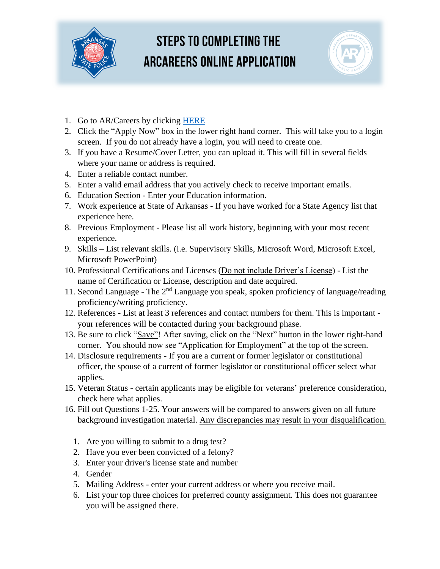

## **STEPS TO COMPLETING THE ARCAREERS ONLINE APPLICATION**



- 1. Go to AR/Careers by clicking [HERE](https://arcareers.arkansas.gov/job-invite/17983/)
- 2. Click the "Apply Now" box in the lower right hand corner. This will take you to a login screen. If you do not already have a login, you will need to create one.
- 3. If you have a Resume/Cover Letter, you can upload it. This will fill in several fields where your name or address is required.
- 4. Enter a reliable contact number.
- 5. Enter a valid email address that you actively check to receive important emails.
- 6. Education Section Enter your Education information.
- 7. Work experience at State of Arkansas If you have worked for a State Agency list that experience here.
- 8. Previous Employment Please list all work history, beginning with your most recent experience.
- 9. Skills List relevant skills. (i.e. Supervisory Skills, Microsoft Word, Microsoft Excel, Microsoft PowerPoint)
- 10. Professional Certifications and Licenses (Do not include Driver's License) List the name of Certification or License, description and date acquired.
- 11. Second Language The  $2<sup>nd</sup>$  Language you speak, spoken proficiency of language/reading proficiency/writing proficiency.
- 12. References List at least 3 references and contact numbers for them. This is important your references will be contacted during your background phase.
- 13. Be sure to click "Save"! After saving, click on the "Next" button in the lower right-hand corner. You should now see "Application for Employment" at the top of the screen.
- 14. Disclosure requirements If you are a current or former legislator or constitutional officer, the spouse of a current of former legislator or constitutional officer select what applies.
- 15. Veteran Status certain applicants may be eligible for veterans' preference consideration, check here what applies.
- 16. Fill out Questions 1-25. Your answers will be compared to answers given on all future background investigation material. Any discrepancies may result in your disqualification.
	- 1. Are you willing to submit to a drug test?
	- 2. Have you ever been convicted of a felony?
	- 3. Enter your driver's license state and number
	- 4. Gender
	- 5. Mailing Address enter your current address or where you receive mail.
	- 6. List your top three choices for preferred county assignment. This does not guarantee you will be assigned there.